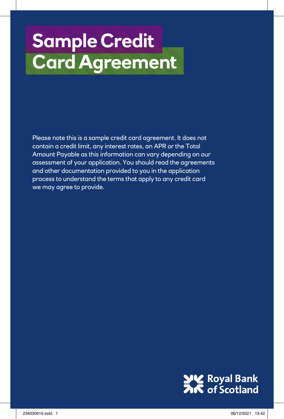# **Sample Credit Cardinal Cardinal Cardinal Cardinal Cardinal Cardinal Cardinal Cardinal Cardinal Cardinal Cardinal Cardinal Ca**

Please note this is a sample credit card agreement. It does not contain a credit limit, any interest rates, an APR or the Total Amount Payable as this information can vary depending on our assessment of your application. You should read the agreements and other documentation provided to you in the application process to understand the terms that apply to any credit card we may agree to provide.

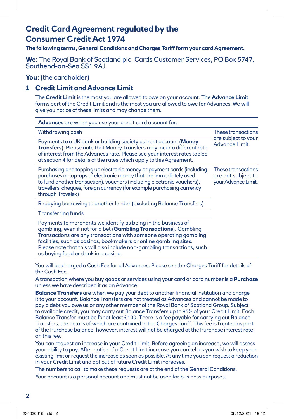# **Credit Card Agreement regulated by the Consumer Credit Act 1974**

**The following terms, General Conditions and Charges Tariff form your card Agreement.** 

# **We**: The Royal Bank of Scotland plc, Cards Customer Services, PO Box 5747,<br>Southend-on-Sea SS1 9AJ.

**You**: (the cardholder)

# **1 Credit Limit and Advance Limit**

The **Credit Limit** is the most you are allowed to owe on your account. The **Advance Limit** forms part of the Credit Limit and is the most you are allowed to owe for Advances. We will give you notice of these limits and may change them.

| <b>Advances</b> are when you use your credit card account for:                                                                                                                                                                                                                                                                                                                                  |                                                                 |  |
|-------------------------------------------------------------------------------------------------------------------------------------------------------------------------------------------------------------------------------------------------------------------------------------------------------------------------------------------------------------------------------------------------|-----------------------------------------------------------------|--|
| Withdrawing cash                                                                                                                                                                                                                                                                                                                                                                                | These transactions                                              |  |
| Payments to a UK bank or building society current account (Money<br>Transfers). Please note that Money Transfers may incur a different rate<br>of interest from the Advances rate. Please see your interest rates tabled<br>at section 4 for details of the rates which apply to this Agreement.                                                                                                | are subject to your<br>Advance Limit.                           |  |
| Purchasing and topping up electronic money or payment cards (including<br>purchases or top-ups of electronic money that are immediately used<br>to fund another transaction), vouchers (including electronic vouchers),<br>travellers' cheques, foreign currency (for example purchasing currency<br>through Travelex)                                                                          | These transactions<br>are not subject to<br>your Advance Limit. |  |
| Repaying borrowing to another lender (excluding Balance Transfers)                                                                                                                                                                                                                                                                                                                              |                                                                 |  |
| <b>Transferring funds</b>                                                                                                                                                                                                                                                                                                                                                                       |                                                                 |  |
| Payments to merchants we identify as being in the business of<br>gambling, even if not for a bet (Gambling Transactions). Gambling<br>Transactions are any transactions with someone operating gambling<br>facilities, such as casinos, bookmakers or online gambling sites.<br>Please note that this will also include non-gambling transactions, such<br>as buying food or drink in a casino. |                                                                 |  |

You will be charged a Cash Fee for all Advances. Please see the Charges Tariff for details of the Cash Fee.

A transaction where you buy goods or services using your card or card number is a **Purchase** unless we have described it as an Advance.

**Balance Transfers** are when we pay your debt to another financial institution and charge it to your account. Balance Transfers are not treated as Advances and cannot be made to pay a debt you owe us or any other member of the Royal Bank of Scotland Group. Subject to available credit, you may carry out Balance Transfers up to 95% of your Credit Limit. Each Balance Transfer must be for at least £100. There is a fee payable for carrying out Balance Transfers, the details of which are contained in the Charges Tariff. This fee is treated as part of the Purchase balance, however, interest will not be charged at the Purchase interest rate on this fee.

You can request an increase in your Credit Limit. Before agreeing an increase, we will assess your ability to pay. After notice of a Credit Limit increase you can tell us you wish to keep your existing limit or request the increase as soon as possible. At any time you can request a reduction in your Credit Limit and opt out of future Credit Limit increases.

The numbers to call to make these requests are at the end of the General Conditions.

Your account is a personal account and must not be used for business purposes.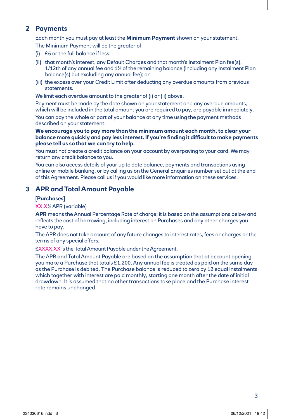# **2 Payments**

Each month you must pay at least the **Minimum Payment** shown on your statement.

The Minimum Payment will be the greater of:

- (i) £5 or the full balance if less;
- (ii) that month's interest, any Default Charges and that month's Instalment Plan fee(s), 1/12th of any annual fee and 1% of the remaining balance (including any Instalment Plan balance(s) but excluding any annual fee); or
- (iii) the excess over your Credit Limit after deducting any overdue amounts from previous statements.

We limit each overdue amount to the greater of (i) or (ii) above.

Payment must be made by the date shown on your statement and any overdue amounts, which will be included in the total amount you are required to pay, are payable immediately. You can pay the whole or part of your balance at any time using the payment methods described on your statement.

**We encourage you to pay more than the minimum amount each month, to clear your balance more quickly and pay less interest. If you're finding it difficult to make payments please tell us so that we can try to help.**

You must not create a credit balance on your account by overpaying to your card. We may return any credit balance to you.

You can also access details of your up to date balance, payments and transactions using online or mobile banking, or by calling us on the General Enquiries number set out at the end of this Agreement. Please call us if you would like more information on these services.

# **3 APR and Total Amount Payable**

#### **[Purchases]**

#### XX.X% APR (variable)

**APR** means the Annual Percentage Rate of charge; it is based on the assumptions below and reflects the cost of borrowing, including interest on Purchases and any other charges you have to pay.

 The APR does not take account of any future changes to interest rates, fees or charges or the terms of any special offers.

£XXXX.XX is the Total Amount Payable under the Agreement.

 The APR and Total Amount Payable are based on the assumption that at account opening you make a Purchase that totals £1,200. Any annual fee is treated as paid on the same day as the Purchase is debited. The Purchase balance is reduced to zero by 12 equal instalments which together with interest are paid monthly, starting one month after the date of initial drawdown. It is assumed that no other transactions take place and the Purchase interest rate remains unchanged.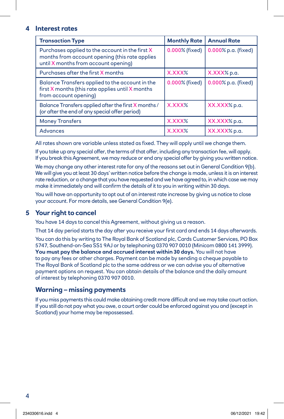#### **4 Interest rates**

| <b>Transaction Type</b>                                                                                                                   | <b>Monthly Rate</b> | <b>Annual Rate</b>  |
|-------------------------------------------------------------------------------------------------------------------------------------------|---------------------|---------------------|
| Purchases applied to the account in the first X<br>months from account opening (this rate applies<br>until X months from account opening) | 0.000% (fixed)      | 0.000% p.a. (fixed) |
| Purchases after the first X months                                                                                                        | X.XXX%              | X.XXX% p.a.         |
| Balance Transfers applied to the account in the<br>first X months (this rate applies until X months<br>from account opening)              | 0.000% (fixed)      | 0.000% p.a. (fixed) |
| Balance Transfers applied after the first X months/<br>(or after the end of any special offer period)                                     | XXXXX               | XX.XXX% p.a.        |
| <b>Money Transfers</b>                                                                                                                    | X.XXX%              | XX.XXX% p.a.        |
| <b>Advances</b>                                                                                                                           | X.XXX%              | XX.XXX% p.a.        |

All rates shown are variable unless stated as fixed. They will apply until we change them.

If you take up any special offer, the terms of that offer, including any transaction fee, will apply. If you break this Agreement, we may reduce or end any special offer by giving you written notice.

We may change any other interest rate for any of the reasons set out in General Condition 9(b). We will give you at least 30 days' written notice before the change is made, unless it is an interest rate reduction, or a change that you have requested and we have agreed to, in which case we may make it immediately and will confirm the details of it to you in writing within 30 days.

You will have an opportunity to opt out of an interest rate increase by giving us notice to close your account. For more details, see General Condition 9(e).

# **5 Your right to cancel**

You have 14 days to cancel this Agreement, without giving us a reason.

That 14 day period starts the day after you receive your first card and ends 14 days afterwards. You can do this by writing to The Royal Bank of Scotland plc, Cards Customer Services, PO Box 5747, Southend-on-Sea SS1 9AJ or by telephoning 0370 907 0010 (Minicom 0800 141 3999). **You must pay the balance and accrued interest within 30 days.** You will not have to pay any fees or other charges. Payment can be made by sending a cheque payable to The Royal Bank of Scotland plc to the same address or we can advise you of alternative payment options on request. You can obtain details of the balance and the daily amount of interest by telephoning 0370 907 0010.

# **Warning – missing payments**

 If you miss payments this could make obtaining credit more difficult and we may take court action. If you still do not pay what you owe, a court order could be enforced against you and (except in Scotland) your home may be repossessed.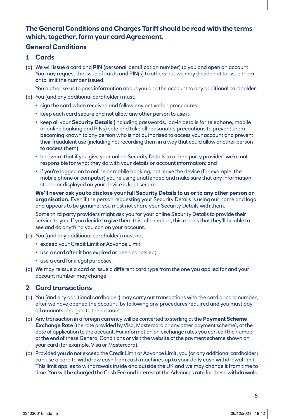# **The General Conditions and Charges Tariff should be read with the terms which, together, form your card Agreement**.

# **General Conditions**

- **1 Cards**
- (a) We will issue a card and **PIN** (personal identification number) to you and open an account. You may request the issue of cards and PIN(s) to others but we may decide not to issue them or to limit the number issued.

You authorise us to pass information about you and the account to any additional cardholder.

- (b) You (and any additional cardholder) must:
	- sign the card when received and follow any activation procedures;
	- keep each card secure and not allow any other person to use it;
	- keep all your **Security Details** (including passwords, log-in details for telephone, mobile or online banking and PINs) safe and take all reasonable precautions to prevent them becoming known to any person who is not authorised to access your account and prevent their fraudulent use (including not recording them in a way that could allow another person to access them);
	- be aware that if you give your online Security Details to a third party provider, we're not responsible for what they do with your details or account information; and
	- if you're logged on to online or mobile banking, not leave the device (for example, the mobile phone or computer) you're using unattended and make sure that any information stored or displayed on your device is kept secure.

**We'll never ask you to disclose your full Security Details to us or to any other person or organisation.** Even if the person requesting your Security Details is using our name and logo and appears to be genuine, you must not share your Security Details with them.

Some third party providers might ask you for your online Security Details to provide their service to you. If you decide to give them this information, this means that they'll be able to see and do anything you can on your account.

- (c) You (and any additional cardholder) must not:
	- exceed your Credit Limit or Advance Limit;
	- use a card after it has expired or been cancelled;
	- use a card for illegal purposes.
- (d) We may reissue a card or issue a different card type from the one you applied for and your account number may change.

# **2 Card transactions**

- (a) You (and any additional cardholder) may carry out transactions with the card or card number, after we have opened the account, by following any procedures required and you must pay all amounts charged to the account.
- (b) Any transaction in a foreign currency will be converted to sterling at the **Payment Scheme Exchange Rate** (the rate provided by Visa, Mastercard or any other payment scheme), at the date of application to the account. For information on exchange rates you can call the number at the end of these General Conditions or visit the website of the payment scheme shown on your card (for example, Visa or Mastercard).
- (c) Provided you do not exceed the Credit Limit or Advance Limit, you (or any additional cardholder) can use a card to withdraw cash from cash machines up to your daily cash withdrawal limit. This limit applies to withdrawals inside and outside the UK and we may change it from time to time. You will be charged the Cash Fee and interest at the Advances rate for these withdrawals.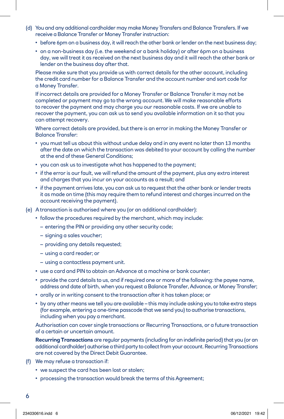- (d) You and any additional cardholder may make Money Transfers and Balance Transfers. If we receive a Balance Transfer or Money Transfer instruction:
	- before 6pm on a business day, it will reach the other bank or lender on the next business day;
	- on a non-business day (i.e. the weekend or a bank holiday) or after 6pm on a business day, we will treat it as received on the next business day and it will reach the other bank or lender on the business day after that.

 Please make sure that you provide us with correct details for the other account, including the credit card number for a Balance Transfer and the account number and sort code for a Money Transfer.

 If incorrect details are provided for a Money Transfer or Balance Transfer it may not be completed or payment may go to the wrong account. We will make reasonable efforts to recover the payment and may charge you our reasonable costs. If we are unable to recover the payment, you can ask us to send you available information on it so that you can attempt recovery.

 Where correct details are provided, but there is an error in making the Money Transfer or Balance Transfer:

- you must tell us about this without undue delay and in any event no later than 13 months after the date on which the transaction was debited to your account by calling the number at the end of these General Conditions;
- you can ask us to investigate what has happened to the payment;
- if the error is our fault, we will refund the amount of the payment, plus any extra interest and charges that you incur on your accounts as a result; and
- if the payment arrives late, you can ask us to request that the other bank or lender treats it as made on time (this may require them to refund interest and charges incurred on the account receiving the payment).
- (e) A transaction is authorised where you (or an additional cardholder):
	- follow the procedures required by the merchant, which may include:
		- entering the PIN or providing any other security code;
		- signing a sales voucher;
		- providing any details requested;
		- using a card reader; or
		- using a contactless payment unit.
	- use a card and PIN to obtain an Advance at a machine or bank counter;
	- provide the card details to us, and if required one or more of the following: the payee name, address and date of birth, when you request a Balance Transfer, Advance, or Money Transfer;
	- orally or in writing consent to the transaction after it has taken place; or
	- by any other means we tell you are available this may include asking you to take extra steps (for example, entering a one-time passcode that we send you) to authorise transactions, including when you pay a merchant.

 Authorisation can cover single transactions or Recurring Transactions, or a future transaction of a certain or uncertain amount.

 **Recurring Transactions** are regular payments (including for an indefinite period) that you (or an additional cardholder) authorise a third party to collect from your account. Recurring Transactions are not covered by the Direct Debit Guarantee.

- (f) We may refuse a transaction if:
	- we suspect the card has been lost or stolen;
	- processing the transaction would break the terms of this Agreement;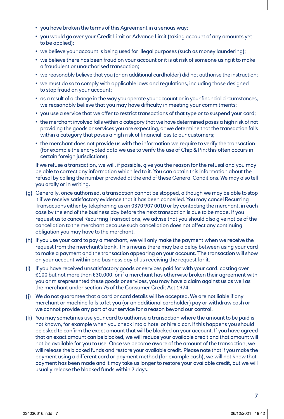- you have broken the terms of this Agreement in a serious way;
- you would go over your Credit Limit or Advance Limit (taking account of any amounts yet to be applied);
- we believe your account is being used for illegal purposes (such as money laundering);
- we believe there has been fraud on your account or it is at risk of someone using it to make a fraudulent or unauthorised transaction;
- we reasonably believe that you (or an additional cardholder) did not authorise the instruction;
- we must do so to comply with applicable laws and regulations, including those designed to stop fraud on your account;
- as a result of a change in the way you operate your account or in your financial circumstances, we reasonably believe that you may have difficulty in meeting your commitments;
- you use a service that we offer to restrict transactions of that type or to suspend your card;
- the merchant involved falls within a category that we have determined poses a high risk of not providing the goods or services you are expecting, or we determine that the transaction falls within a category that poses a high risk of financial loss to our customers;
- the merchant does not provide us with the information we require to verify the transaction (for example the encrypted data we use to verify the use of Chip & Pin; this often occurs in certain foreign jurisdictions).

 If we refuse a transaction, we will, if possible, give you the reason for the refusal and you may be able to correct any information which led to it. You can obtain this information about the refusal by calling the number provided at the end of these General Conditions. We may also tell you orally or in writing.

- (g) Generally, once authorised, a transaction cannot be stopped, although we may be able to stop it if we receive satisfactory evidence that it has been cancelled. You may cancel Recurring Transactions either by telephoning us on 0370 907 0010 or by contacting the merchant, in each case by the end of the business day before the next transaction is due to be made. If you request us to cancel Recurring Transactions, we advise that you should also give notice of the cancellation to the merchant because such cancellation does not affect any continuing obligation you may have to the merchant.
- (h) If you use your card to pay a merchant, we will only make the payment when we receive the request from the merchant's bank. This means there may be a delay between using your card to make a payment and the transaction appearing on your account. The transaction will show on your account within one business day of us receiving the request for it.
- (i) If you have received unsatisfactory goods or services paid for with your card, costing over £100 but not more than £30,000, or if a merchant has otherwise broken their agreement with you or misrepresented these goods or services, you may have a claim against us as well as the merchant under section 75 of the Consumer Credit Act 1974.
- (j) We do not guarantee that a card or card details will be accepted. We are not liable if any merchant or machine fails to let you (or an additional cardholder) pay or withdraw cash or we cannot provide any part of our service for a reason beyond our control.
- (k) You may sometimes use your card to authorise a transaction where the amount to be paid is not known, for example when you check into a hotel or hire a car. If this happens you should be asked to confirm the exact amount that will be blocked on your account. If you have agreed that an exact amount can be blocked, we will reduce your available credit and that amount will not be available for you to use. Once we become aware of the amount of the transaction, we will release the blocked funds and restore your available credit. Please note that if you make the payment using a different card or payment method (for example cash), we will not know that payment has been made and it may take us longer to restore your available credit, but we will usually release the blocked funds within 7 days.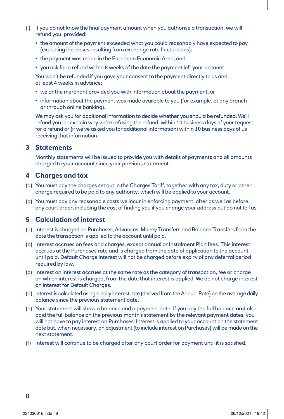- (l) If you do not know the final payment amount when you authorise a transaction, we will refund you, provided:
	- the amount of the payment exceeded what you could reasonably have expected to pay (excluding increases resulting from exchange rate fluctuations);
	- the payment was made in the European Economic Area; and
	- you ask for a refund within 8 weeks of the date the payment left your account.

You won't be refunded if you gave your consent to the payment directly to us and, at least 4 weeks in advance:

- we or the merchant provided you with information about the payment; or
- information about the payment was made available to you (for example, at any branch or through online banking).

We may ask you for additional information to decide whether you should be refunded. We'll refund you, or explain why we're refusing the refund, within 10 business days of your request for a refund or (if we've asked you for additional information) within 10 business days of us receiving that information.

#### **3 Statements**

 Monthly statements will be issued to provide you with details of payments and all amounts charged to your account since your previous statement.

## **4 Charges and tax**

- (a) You must pay the charges set out in the Charges Tariff, together with any tax, duty or other charge required to be paid to any authority, which will be applied to your account.
- (b) You must pay any reasonable costs we incur in enforcing payment, after as well as before any court order, including the cost of finding you if you change your address but do not tell us.

#### **5 Calculation of interest**

- (a) Interest is charged on Purchases, Advances, Money Transfers and Balance Transfers from the date the transaction is applied to the account until paid.
- (b) Interest accrues on fees and charges, except annual or Instalment Plan fees. This interest accrues at the Purchases rate and is charged from the date of application to the account until paid. Default Charge interest will not be charged before expiry of any deferral period required by law.
- (c) Interest on interest accrues at the same rate as the category of transaction, fee or charge on which interest is charged, from the date that interest is applied. We do not charge interest on interest for Default Charges.
- (d) Interest is calculated using a daily interest rate (derived from the Annual Rate) on the average daily balance since the previous statement date.
- (e) Your statement will show a balance and a payment date. If you pay the full balance **and** also paid the full balance on the previous month's statement by the relevant payment dates, you will not have to pay interest on Purchases. Interest is applied to your account on the statement date but, when necessary, an adjustment (to include interest on Purchases) will be made on the next statement.
- (f) Interest will continue to be charged after any court order for payment until it is satisfied.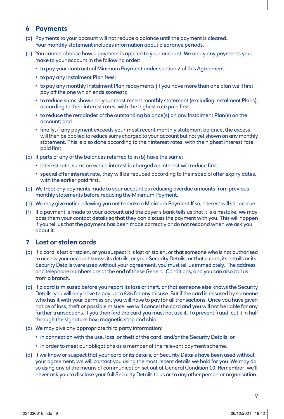## **6 Payments**

- (a) Payments to your account will not reduce a balance until the payment is cleared. Your monthly statement includes information about clearance periods.
- (b) You cannot choose how a payment is applied to your account. We apply any payments you make to your account in the following order:
	- to pay your contractual Minimum Payment under section 2 of this Agreement;
	- to pay any Instalment Plan fees;
	- to pay any monthly Instalment Plan repayments (if you have more than one plan we'll first pay off the one which ends soonest);
	- to reduce sums shown on your most recent monthly statement (excluding Instalment Plans), according to their interest rates, with the highest rate paid first;
	- to reduce the remainder of the outstanding balance(s) on any Instalment Plan(s) on the account; and
	- finally, if any payment exceeds your most recent monthly statement balance, the excess will then be applied to reduce sums charged to your account but not yet shown on any monthly statement. This is also done according to their interest rates, with the highest interest rate paid first.
- (c) If parts of any of the balances referred to in (b) have the same:
	- interest rate, sums on which interest is charged on interest will reduce first;
	- special offer interest rate, they will be reduced according to their special offer expiry dates, with the earlier paid first.
- (d) We treat any payments made to your account as reducing overdue amounts from previous monthly statements before reducing the Minimum Payment.
- (e) We may give notice allowing you not to make a Minimum Payment.If so, interest will still accrue.
- (f) If a payment is made to your account and the payer's bank tells us that it is a mistake, we may pass them your contact details so that they can discuss the payment with you. This will happen if you tell us that the payment has been made correctly or do not respond when we ask you about it.

#### **7 Lost or stolen cards**

- (a) If a card is lost or stolen, or you suspect it is lost or stolen, or that someone who is not authorised to access your account knows its details, or your Security Details, or that a card, its details or its Security Details were used without your agreement, you must tell us immediately. The address and telephone numbers are at the end of these General Conditions, and you can also call us from a branch.
- (b) If a card is misused before you report its loss or theft, or that someone else knows the Security Details, you will only have to pay up to £35 for any misuse. But if the card is misused by someone who has it with your permission, you will have to pay for all transactions. Once you have given notice of loss, theft or possible misuse, we will cancel the card and you will not be liable for any further transactions. If you then find the card you must not use it. To prevent fraud, cut it in half through the signature box, magnetic strip and chip.
- (c) We may give any appropriate third party information:
	- in connection with the use, loss, or theft of the card, and/or the Security Details; or
	- in order to meet our obligations as a member of the relevant payment scheme.
- (d) If we know or suspect that your card or its details, or Security Details have been used without your agreement, we will contact you using the most recent details we hold for you. We may do so using any of the means of communication set out at General Condition 10. Remember, we'll never ask you to disclose your full Security Details to us or to any other person or organisation.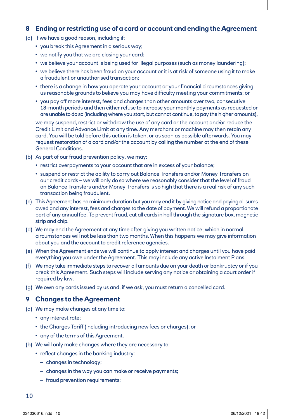#### **8 Ending or restricting use of a card or account and ending the Agreement**

- (a) If we have a good reason, including if:
	- you break this Agreement in a serious way;
	- we notify you that we are closing your card;
	- we believe your account is being used for illegal purposes (such as money laundering);
	- we believe there has been fraud on your account or it is at risk of someone using it to make a fraudulent or unauthorised transaction;
	- there is a change in how you operate your account or your financial circumstances giving us reasonable grounds to believe you may have difficulty meeting your commitments; or
	- you pay off more interest, fees and charges than other amounts over two, consecutive 18-month periods and then either refuse to increase your monthly payments as requested or are unable to do so (including where you start, but cannot continue, to pay the higher amounts),

 we may suspend, restrict or withdraw the use of any card or the account and/or reduce the Credit Limit and Advance Limit at any time. Any merchant or machine may then retain any card. You will be told before this action is taken, or as soon as possible afterwards. You may request restoration of a card and/or the account by calling the number at the end of these General Conditions.

- (b) As part of our fraud prevention policy, we may:
	- restrict overpayments to your account that are in excess of your balance;
	- suspend or restrict the ability to carry out Balance Transfers and/or Money Transfers on our credit cards – we will only do so where we reasonably consider that the level of fraud on Balance Transfers and/or Money Transfers is so high that there is a real risk of any such transaction being fraudulent.
- (c) This Agreement has no minimum duration but you may end it by giving notice and paying all sums owed and any interest, fees and charges to the date of payment. We will refund a proportionate part of any annual fee. To prevent fraud, cut all cards in half through the signature box, magnetic strip and chip.
- (d) We may end the Agreement at any time after giving you written notice, which in normal circumstances will not be less than two months. When this happens we may give information about you and the account to credit reference agencies.
- (e) When the Agreement ends we will continue to apply interest and charges until you have paid everything you owe under the Agreement. This may include any active Instalment Plans.
- (f) We may take immediate steps to recover all amounts due on your death or bankruptcy or if you break this Agreement. Such steps will include serving any notice or obtaining a court order if required by law.
- (g) We own any cards issued by us and, if we ask, you must return a cancelled card.

#### **9 Changes to the Agreement**

- (a) We may make changes at any time to:
	- any interest rate;
	- the Charges Tariff (including introducing new fees or charges); or
	- any of the terms of this Agreement.
- (b) We will only make changes where they are necessary to:
	- reflect changes in the banking industry:
		- changes in technology;
		- changes in the way you can make or receive payments;
		- fraud prevention requirements;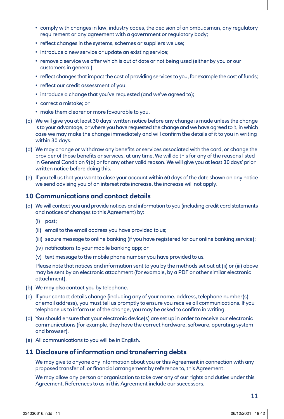- comply with changes in law, industry codes, the decision of an ombudsman, any regulatory requirement or any agreement with a government or regulatory body;
- reflect changes in the systems, schemes or suppliers we use;
- introduce a new service or update an existing service;
- remove a service we offer which is out of date or not being used (either by you or our customers in general);
- reflect changes that impact the cost of providing services to you, for example the cost of funds;
- reflect our credit assessment of you;
- introduce a change that you've requested (and we've agreed to);
- correct a mistake; or
- make them clearer or more favourable to you.
- (c) We will give you at least 30 days' written notice before any change is made unless the change is to your advantage, or where you have requested the change and we have agreed to it, in which case we may make the change immediately and will confirm the details of it to you in writing within 30 days.
- (d) We may change or withdraw any benefits or services associated with the card, or change the provider of those benefits or services, at any time. We will do this for any of the reasons listed in General Condition 9(b) or for any other valid reason. We will give you at least 30 days' prior written notice before doing this.
- (e) If you tell us that you want to close your account within 60 days of the date shown on any notice we send advising you of an interest rate increase, the increase will not apply.

#### **10 Communications and contact details**

- (a) We will contact you and provide notices and information to you (including credit card statements and notices of changes to this Agreement) by:
	- (i) post;
	- (ii) email to the email address you have provided to us;
	- (iii) secure message to online banking (if you have registered for our online banking service);
	- (iv) notifications to your mobile banking app; or
	- (v) text message to the mobile phone number you have provided to us.

 Please note that notices and information sent to you by the methods set out at (ii) or (iii) above may be sent by an electronic attachment (for example, by a PDF or other similar electronic attachment).

- (b) We may also contact you by telephone.
- (c) If your contact details change (including any of your name, address, telephone number(s) or email address), you must tell us promptly to ensure you receive all communications. If you telephone us to inform us of the change, you may be asked to confirm in writing.
- (d) You should ensure that your electronic device(s) are set up in order to receive our electronic communications (for example, they have the correct hardware, software, operating system and browser).
- (e) All communications to you will be in English.

#### **11 Disclosure of information and transferring debts**

 We may give to anyone any information about you or this Agreement in connection with any proposed transfer of, or financial arrangement by reference to, this Agreement.

 We may allow any person or organisation to take over any of our rights and duties under this Agreement. References to us in this Agreement include our successors.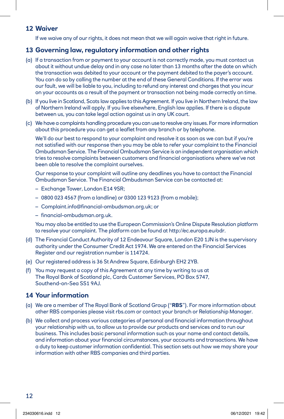#### **12 Waiver**

If we waive any of our rights, it does not mean that we will again waive that right in future.

# **13 Governing law, regulatory information and other rights**

- (a) If a transaction from or payment to your account is not correctly made, you must contact us about it without undue delay and in any case no later than 13 months after the date on which the transaction was debited to your account or the payment debited to the payer's account. You can do so by calling the number at the end of these General Conditions. If the error was our fault, we will be liable to you, including to refund any interest and charges that you incur on your accounts as a result of the payment or transaction not being made correctly on time.
- (b) If you live in Scotland, Scots law applies to this Agreement. If you live in Northern Ireland, the law of Northern Ireland will apply. If you live elsewhere, English law applies. If there is a dispute between us, you can take legal action against us in any UK court.
- (c) We have a complaints handling procedure you can use to resolve any issues. For more information about this procedure you can get a leaflet from any branch or by telephone.

 We'll do our best to respond to your complaint and resolve it as soon as we can but if you're not satisfied with our response then you may be able to refer your complaint to the Financial Ombudsman Service. The Financial Ombudsman Service is an independent organisation which tries to resolve complaints between customers and financial organisations where we've not been able to resolve the complaint ourselves.

 Our response to your complaint will outline any deadlines you have to contact the Financial Ombudsman Service. The Financial Ombudsman Service can be contacted at:

- Exchange Tower, London E14 9SR;
- 0800 023 4567 (from a landline) or 0300 123 9123 (from a mobile);
- Complaint.info@financial-ombudsman.org.uk; or
- financial-ombudsman.org.uk.

 You may also be entitled to use the European Commission's Online Dispute Resolution platform to resolve your complaint. The platform can be found at http://ec.europa.eu/odr.

- (d) The Financial Conduct Authority of 12 Endeavour Square, London E20 1JN is the supervisory authority under the Consumer Credit Act 1974. We are entered on the Financial Services Register and our registration number is 114724.
- (e) Our registered address is 36 St Andrew Square, Edinburgh EH2 2YB.
- (f) You may request a copy of this Agreement at any time by writing to us at The Royal Bank of Scotland plc, Cards Customer Services, PO Box 5747, Southend-on-Sea SS1 9AJ.

#### **14 Your information**

- (a) We are a member of The Royal Bank of Scotland Group ("**RBS**"). For more information about other RBS companies please visit rbs.com or contact your branch or Relationship Manager.
- (b) We collect and process various categories of personal and financial information throughout your relationship with us, to allow us to provide our products and services and to run our business. This includes basic personal information such as your name and contact details, and information about your financial circumstances, your accounts and transactions. We have a duty to keep customer information confidential. This section sets out how we may share your information with other RBS companies and third parties.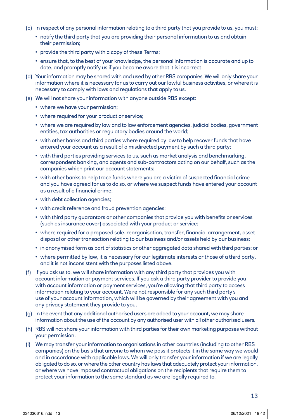- (c) In respect of any personal information relating to a third party that you provide to us, you must:
	- notify the third party that you are providing their personal information to us and obtain their permission;
	- provide the third party with a copy of these Terms;
	- ensure that, to the best of your knowledge, the personal information is accurate and up to date, and promptly notify us if you become aware that it is incorrect.
- (d) Your information may be shared with and used by other RBS companies. We will only share your information where it is necessary for us to carry out our lawful business activities, or where it is necessary to comply with laws and regulations that apply to us.
- (e) We will not share your information with anyone outside RBS except:
	- where we have your permission;
	- where required for your product or service;
	- where we are required by law and to law enforcement agencies, judicial bodies, government entities, tax authorities or regulatory bodies around the world;
	- with other banks and third parties where required by law to help recover funds that have entered your account as a result of a misdirected payment by such a third party;
	- with third parties providing services to us, such as market analysis and benchmarking, correspondent banking, and agents and sub-contractors acting on our behalf, such as the companies which print our account statements;
	- with other banks to help trace funds where you are a victim of suspected financial crime and you have agreed for us to do so, or where we suspect funds have entered your account as a result of a financial crime;
	- with debt collection agencies;
	- with credit reference and fraud prevention agencies;
	- with third party guarantors or other companies that provide you with benefits or services (such as insurance cover) associated with your product or service;
	- where required for a proposed sale, reorganisation, transfer, financial arrangement, asset disposal or other transaction relating to our business and/or assets held by our business;
	- in anonymised form as part of statistics or other aggregated data shared with third parties; or
	- where permitted by law, it is necessary for our legitimate interests or those of a third party, and it is not inconsistent with the purposes listed above.
- (f) If you ask us to, we will share information with any third party that provides you with account information or payment services. If you ask a third party provider to provide you with account information or payment services, you're allowing that third party to access information relating to your account. We're not responsible for any such third party's use of your account information, which will be governed by their agreement with you and any privacy statement they provide to you.
- (g) In the event that any additional authorised users are added to your account, we may share information about the use of the account by any authorised user with all other authorised users.
- (h) RBS will not share your information with third parties for their own marketing purposes without your permission.
- (i) We may transfer your information to organisations in other countries (including to other RBS companies) on the basis that anyone to whom we pass it protects it in the same way we would and in accordance with applicable laws. We will only transfer your information if we are legally obligated to do so, or where the other country has laws that adequately protect your information, or where we have imposed contractual obligations on the recipients that require them to protect your information to the same standard as we are legally required to.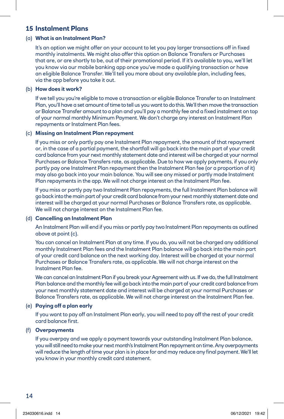#### **15 Instalment Plans**

#### (a) **What is an Instalment Plan?**

It's an option we might offer on your account to let you pay larger transactions off in fixed monthly instalments. We might also offer this option on Balance Transfers or Purchases that are, or are shortly to be, out of their promotional period. If it's available to you, we'll let you know via our mobile banking app once you've made a qualifying transaction or have an eligible Balance Transfer. We'll tell you more about any available plan, including fees, via the app before you take it out.

#### (b) **How does it work?**

If we tell you you're eligible to move a transaction or eligible Balance Transfer to an Instalment Plan, you'll have a set amount of time to tell us you want to do this. We'll then move the transaction or Balance Transfer amount to a plan and you'll pay a monthly fee and a fixed instalment on top of your normal monthly Minimum Payment. We don't charge any interest on Instalment Plan repayments or Instalment Plan fees.

#### (c) **Missing an Instalment Plan repayment**

If you miss or only partly pay one Instalment Plan repayment, the amount of that repayment or, in the case of a partial payment, the shortfall will go back into the main part of your credit card balance from your next monthly statement date and interest will be charged at your normal Purchases or Balance Transfers rate, as applicable. Due to how we apply payments, if you only partly pay one Instalment Plan repayment then the Instalment Plan fee (or a proportion of it) may also go back into your main balance. You will see any missed or partly made Instalment Plan repayments in the app. We will not charge interest on the Instalment Plan fee.

If you miss or partly pay two Instalment Plan repayments, the full Instalment Plan balance will go back into the main part of your credit card balance from your next monthly statement date and interest will be charged at your normal Purchases or Balance Transfers rate, as applicable. We will not charge interest on the Instalment Plan fee.

#### (d) **Cancelling an Instalment Plan**

An Instalment Plan will end if you miss or partly pay two Instalment Plan repayments as outlined above at point (c).

You can cancel an Instalment Plan at any time. If you do, you will not be charged any additional monthly Instalment Plan fees and the Instalment Plan balance will go back into the main part of your credit card balance on the next working day. Interest will be charged at your normal Purchases or Balance Transfers rate, as applicable. We will not charge interest on the Instalment Plan fee.

We can cancel an Instalment Plan if you break your Agreement with us. If we do, the full Instalment Plan balance and the monthly fee will go back into the main part of your credit card balance from your next monthly statement date and interest will be charged at your normal Purchases or Balance Transfers rate, as applicable. We will not charge interest on the Instalment Plan fee.

#### (e) **Paying off a plan early**

If you want to pay off an Instalment Plan early, you will need to pay off the rest of your credit card balance first.

#### (f) **Overpayments**

If you overpay and we apply a payment towards your outstanding Instalment Plan balance, you will still need to make your next month's Instalment Plan repayment on time. Any overpayments will reduce the length of time your plan is in place for and may reduce any final payment. We'll let you know in your monthly credit card statement.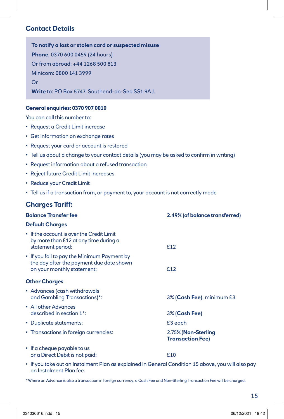# **Contact Details**

**To notify a lost or stolen card or suspected misuse Phone**: 0370 600 0459 (24 hours) Or from abroad: +44 1268 500 813 Minicom: 0800 141 3999 Or **Write** to: PO Box 5747, Southend-on-Sea SS1 9AJ.

#### **General enquiries: 0370 907 0010**

You can call this number to:

- Request a Credit Limit increase
- Get information on exchange rates
- Request your card or account is restored
- Tell us about a change to your contact details (you may be asked to confirm in writing)
- Request information about a refused transaction
- Reject future Credit Limit increases
- Reduce your Credit Limit
- Tell us if a transaction from, or payment to, your account is not correctly made

#### **Charges Tariff:**

| <b>Balance Transfer fee</b>                                                                                           | 2.49% (of balance transferred)                 |
|-----------------------------------------------------------------------------------------------------------------------|------------------------------------------------|
| <b>Default Charges</b>                                                                                                |                                                |
| • If the account is over the Credit Limit<br>by more than £12 at any time during a<br>statement period:               | £12                                            |
| • If you fail to pay the Minimum Payment by<br>the day after the payment due date shown<br>on your monthly statement: | £12                                            |
| <b>Other Charges</b>                                                                                                  |                                                |
| • Advances (cash withdrawals<br>and Gambling Transactions)*:                                                          | 3% (Cash Fee), minimum £3                      |
| • All other Advances<br>described in section 1*:                                                                      | 3% (Cash Fee)                                  |
| • Duplicate statements:                                                                                               | £3 each                                        |
| • Transactions in foreign currencies:                                                                                 | 2.75% (Non-Sterling<br><b>Transaction Fee)</b> |
| • If a cheque payable to us<br>or a Direct Debit is not paid:                                                         | £10                                            |

• If you take out an Instalment Plan as explained in General Condition 15 above, you will also pay an Instalment Plan fee.

\* Where an Advance is also a transaction in foreign currency, a Cash Fee and Non-Sterling Transaction Fee will be charged.